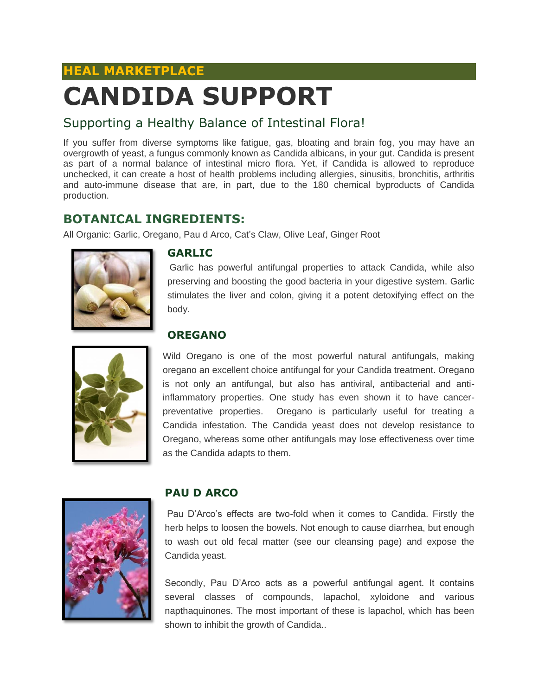# **HEAL MARKETPLACE CANDIDA SUPPORT**

### Supporting a Healthy Balance of Intestinal Flora!

If you suffer from diverse symptoms like fatigue, gas, bloating and brain fog, you may have an overgrowth of yeast, a fungus commonly known as Candida albicans, in your gut. Candida is present as part of a normal balance of intestinal micro flora. Yet, if Candida is allowed to reproduce unchecked, it can create a host of health problems including allergies, sinusitis, bronchitis, arthritis and auto-immune disease that are, in part, due to the 180 chemical byproducts of Candida production.

## **BOTANICAL INGREDIENTS:**

All Organic: Garlic, Oregano, Pau d Arco, Cat's Claw, Olive Leaf, Ginger Root



#### **GARLIC**

Garlic has powerful antifungal properties to attack Candida, while also preserving and boosting the good bacteria in your digestive system. Garlic stimulates the liver and colon, giving it a potent detoxifying effect on the body.

#### **OREGANO**



Wild Oregano is one of the most powerful natural antifungals, making oregano an excellent choice antifungal for your Candida treatment. Oregano is not only an antifungal, but also has antiviral, antibacterial and antiinflammatory properties. One study has even shown it to have cancerpreventative properties. Oregano is particularly useful for treating a Candida infestation. The Candida yeast does not develop resistance to Oregano, whereas some other antifungals may lose effectiveness over time as the Candida adapts to them.



#### **PAU D ARCO**

Pau D'Arco's effects are two-fold when it comes to Candida. Firstly the herb helps to loosen the bowels. Not enough to cause diarrhea, but enough to wash out old fecal matter (see our cleansing page) and expose the Candida yeast.

Secondly, Pau D'Arco acts as a powerful antifungal agent. It contains several classes of compounds, lapachol, xyloidone and various napthaquinones. The most important of these is lapachol, which has been shown to inhibit the growth of Candida..